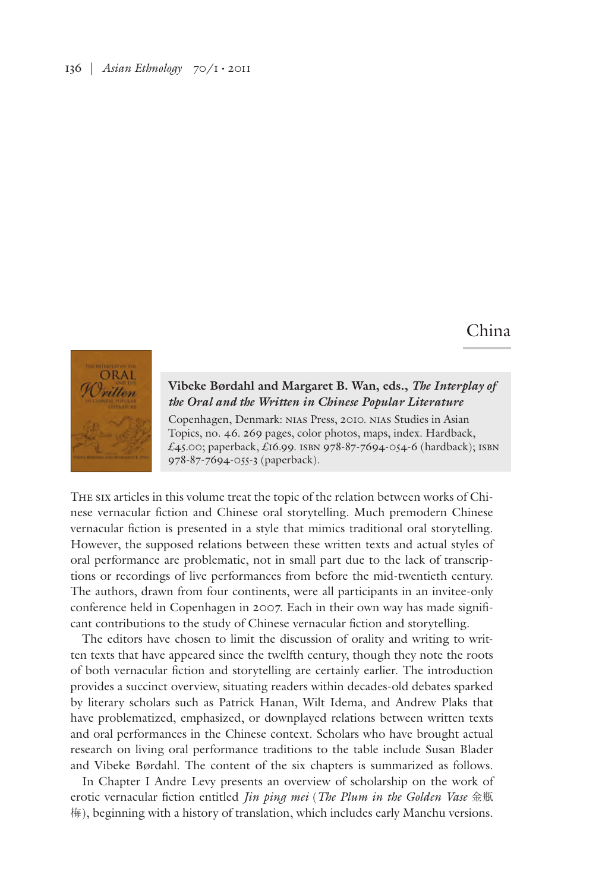## 136 | *Asian Ethnology* 70/1 • 2011

## China



## **Vibeke Børdahl and Margaret B. Wan, eds.,** *The Interplay of the Oral and the Written in Chinese Popular Literature*

Copenhagen, Denmark: nias Press, 2010. nias Studies in Asian Topics, no. 46. 269 pages, color photos, maps, index. Hardback, £45.00; paperback, £16.99. isbn 978-87-7694-054-6 (hardback); isbn 978-87-7694-055-3 (paperback).

The six articles in this volume treat the topic of the relation between works of Chinese vernacular fiction and Chinese oral storytelling. Much premodern Chinese vernacular fiction is presented in a style that mimics traditional oral storytelling. However, the supposed relations between these written texts and actual styles of oral performance are problematic, not in small part due to the lack of transcriptions or recordings of live performances from before the mid-twentieth century. The authors, drawn from four continents, were all participants in an invitee-only conference held in Copenhagen in 2007. Each in their own way has made significant contributions to the study of Chinese vernacular fiction and storytelling.

The editors have chosen to limit the discussion of orality and writing to written texts that have appeared since the twelfth century, though they note the roots of both vernacular fiction and storytelling are certainly earlier. The introduction provides a succinct overview, situating readers within decades-old debates sparked by literary scholars such as Patrick Hanan, Wilt Idema, and Andrew Plaks that have problematized, emphasized, or downplayed relations between written texts and oral performances in the Chinese context. Scholars who have brought actual research on living oral performance traditions to the table include Susan Blader and Vibeke Børdahl. The content of the six chapters is summarized as follows.

In Chapter I Andre Levy presents an overview of scholarship on the work of erotic vernacular fiction entitled *Jin ping mei* (*The Plum in the Golden Vase* 金瓶 梅), beginning with a history of translation, which includes early Manchu versions.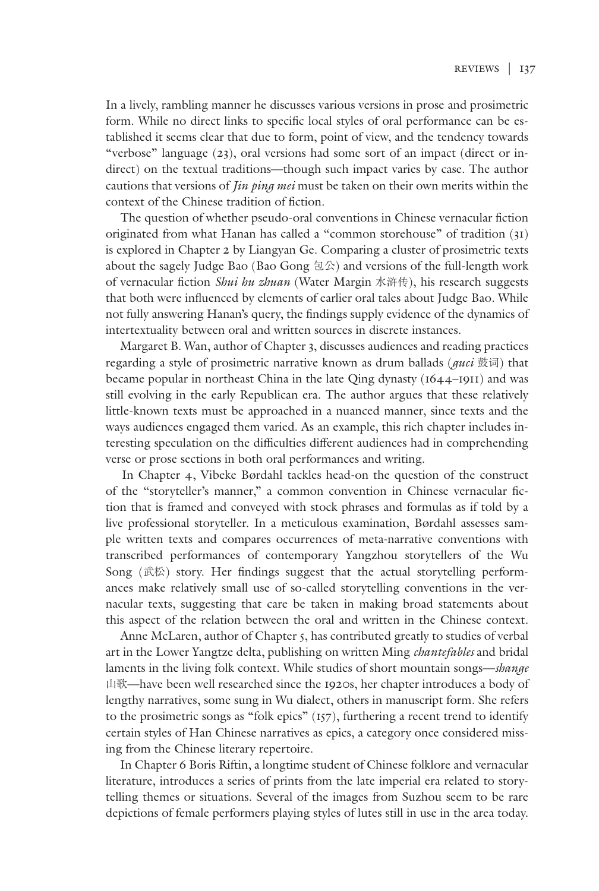In a lively, rambling manner he discusses various versions in prose and prosimetric form. While no direct links to specific local styles of oral performance can be established it seems clear that due to form, point of view, and the tendency towards "verbose" language (23), oral versions had some sort of an impact (direct or indirect) on the textual traditions—though such impact varies by case. The author cautions that versions of *Jin ping mei* must be taken on their own merits within the context of the Chinese tradition of fiction.

 The question of whether pseudo-oral conventions in Chinese vernacular fiction originated from what Hanan has called a "common storehouse" of tradition (31) is explored in Chapter 2 by Liangyan Ge. Comparing a cluster of prosimetric texts about the sagely Judge Bao (Bao Gong 包公) and versions of the full-length work of vernacular fiction *Shui hu zhuan* (Water Margin 水浒传), his research suggests that both were influenced by elements of earlier oral tales about Judge Bao. While not fully answering Hanan's query, the findings supply evidence of the dynamics of intertextuality between oral and written sources in discrete instances.

 Margaret B. Wan, author of Chapter 3, discusses audiences and reading practices regarding a style of prosimetric narrative known as drum ballads (*guci* 鼓词) that became popular in northeast China in the late Qing dynasty (1644–1911) and was still evolving in the early Republican era. The author argues that these relatively little-known texts must be approached in a nuanced manner, since texts and the ways audiences engaged them varied. As an example, this rich chapter includes interesting speculation on the difficulties different audiences had in comprehending verse or prose sections in both oral performances and writing.

 In Chapter 4, Vibeke Børdahl tackles head-on the question of the construct of the "storyteller's manner," a common convention in Chinese vernacular fiction that is framed and conveyed with stock phrases and formulas as if told by a live professional storyteller. In a meticulous examination, Børdahl assesses sample written texts and compares occurrences of meta-narrative conventions with transcribed performances of contemporary Yangzhou storytellers of the Wu Song (武松) story. Her findings suggest that the actual storytelling performances make relatively small use of so-called storytelling conventions in the vernacular texts, suggesting that care be taken in making broad statements about this aspect of the relation between the oral and written in the Chinese context.

 Anne McLaren, author of Chapter 5, has contributed greatly to studies of verbal art in the Lower Yangtze delta, publishing on written Ming *chantefables* and bridal laments in the living folk context. While studies of short mountain songs—*shange* 山歌—have been well researched since the 1920s, her chapter introduces a body of lengthy narratives, some sung in Wu dialect, others in manuscript form. She refers to the prosimetric songs as "folk epics" (157), furthering a recent trend to identify certain styles of Han Chinese narratives as epics, a category once considered missing from the Chinese literary repertoire.

 In Chapter 6 Boris Riftin, a longtime student of Chinese folklore and vernacular literature, introduces a series of prints from the late imperial era related to storytelling themes or situations. Several of the images from Suzhou seem to be rare depictions of female performers playing styles of lutes still in use in the area today.